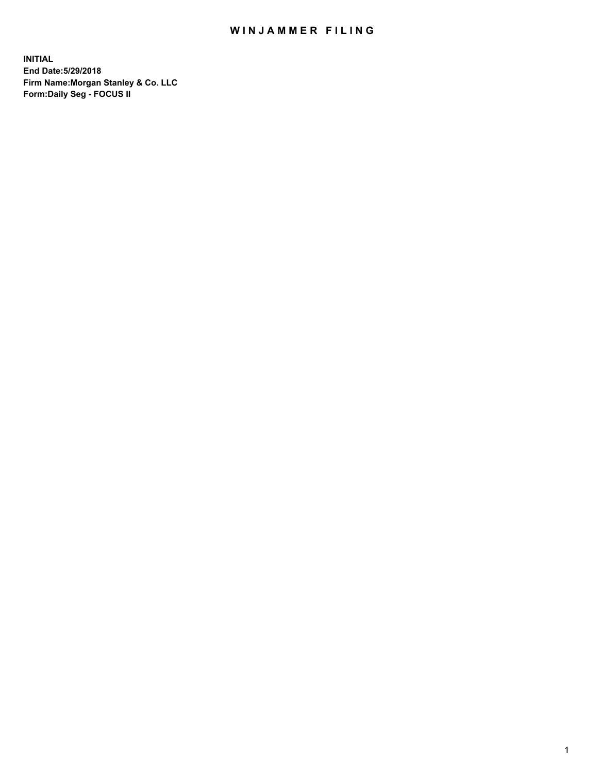## WIN JAMMER FILING

**INITIAL End Date:5/29/2018 Firm Name:Morgan Stanley & Co. LLC Form:Daily Seg - FOCUS II**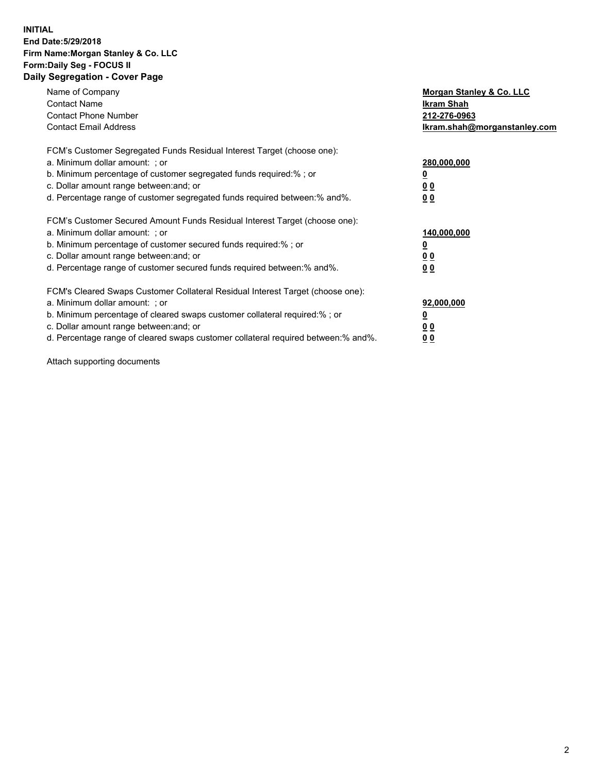#### **INITIAL End Date:5/29/2018 Firm Name:Morgan Stanley & Co. LLC Form:Daily Seg - FOCUS II Daily Segregation - Cover Page**

| Name of Company<br>Morgan Stanley & Co. LLC                                                   |  |
|-----------------------------------------------------------------------------------------------|--|
| <b>Contact Name</b><br>Ikram Shah                                                             |  |
| <b>Contact Phone Number</b><br>212-276-0963                                                   |  |
| <b>Contact Email Address</b><br>lkram.shah@morganstanley.com                                  |  |
| FCM's Customer Segregated Funds Residual Interest Target (choose one):                        |  |
| a. Minimum dollar amount: ; or<br>280,000,000                                                 |  |
| b. Minimum percentage of customer segregated funds required:%; or                             |  |
| c. Dollar amount range between: and; or<br>00                                                 |  |
| d. Percentage range of customer segregated funds required between: % and %.<br>0 <sub>0</sub> |  |
| FCM's Customer Secured Amount Funds Residual Interest Target (choose one):                    |  |
| a. Minimum dollar amount: ; or<br>140,000,000                                                 |  |
| b. Minimum percentage of customer secured funds required:%; or                                |  |
| c. Dollar amount range between: and; or<br>00                                                 |  |
| d. Percentage range of customer secured funds required between: % and %.<br>0 <sub>0</sub>    |  |
| FCM's Cleared Swaps Customer Collateral Residual Interest Target (choose one):                |  |
| a. Minimum dollar amount: ; or<br>92,000,000                                                  |  |
| b. Minimum percentage of cleared swaps customer collateral required:% ; or<br><u>0</u>        |  |
| c. Dollar amount range between: and; or<br><u>00</u>                                          |  |
| d. Percentage range of cleared swaps customer collateral required between:% and%.<br>00       |  |

Attach supporting documents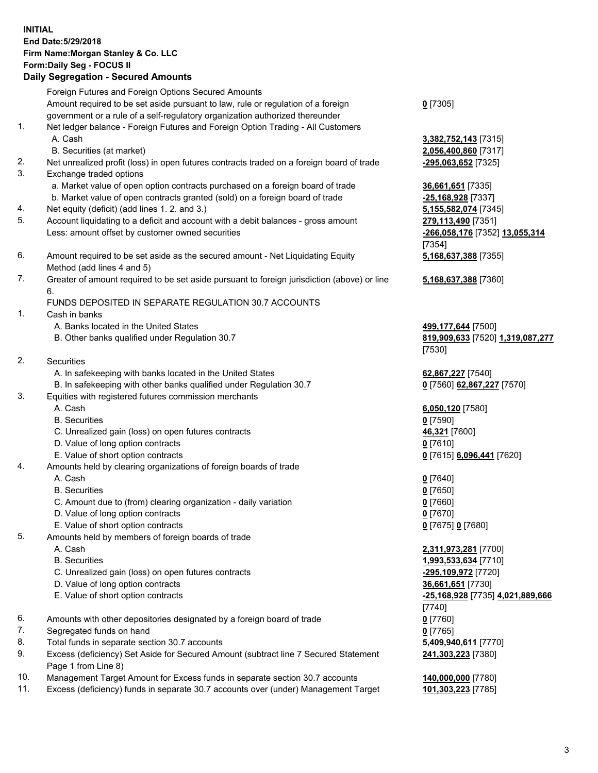## **INITIAL End Date:5/29/2018 Firm Name:Morgan Stanley & Co. LLC Form:Daily Seg - FOCUS II**

# **Daily Segregation - Secured Amounts**

|                | Foreign Futures and Foreign Options Secured Amounts                                                          |                                  |
|----------------|--------------------------------------------------------------------------------------------------------------|----------------------------------|
|                | Amount required to be set aside pursuant to law, rule or regulation of a foreign                             | $0$ [7305]                       |
|                | government or a rule of a self-regulatory organization authorized thereunder                                 |                                  |
| 1.             | Net ledger balance - Foreign Futures and Foreign Option Trading - All Customers                              |                                  |
|                | A. Cash                                                                                                      | 3,382,752,143 [7315]             |
|                | B. Securities (at market)                                                                                    | 2,056,400,860 [7317]             |
| 2.<br>3.       | Net unrealized profit (loss) in open futures contracts traded on a foreign board of trade                    | -295,063,652 [7325]              |
|                | Exchange traded options                                                                                      |                                  |
|                | a. Market value of open option contracts purchased on a foreign board of trade                               | 36,661,651 [7335]                |
|                | b. Market value of open contracts granted (sold) on a foreign board of trade                                 | -25,168,928 [7337]               |
| 4.<br>5.       | Net equity (deficit) (add lines 1.2. and 3.)                                                                 | 5,155,582,074 [7345]             |
|                | Account liquidating to a deficit and account with a debit balances - gross amount                            | 279,113,490 [7351]               |
|                | Less: amount offset by customer owned securities                                                             | -266,058,176 [7352] 13,055,314   |
| 6.             |                                                                                                              | [7354]                           |
|                | Amount required to be set aside as the secured amount - Net Liquidating Equity<br>Method (add lines 4 and 5) | 5,168,637,388 [7355]             |
| 7.             | Greater of amount required to be set aside pursuant to foreign jurisdiction (above) or line                  | 5,168,637,388 [7360]             |
|                | 6.                                                                                                           |                                  |
|                | FUNDS DEPOSITED IN SEPARATE REGULATION 30.7 ACCOUNTS                                                         |                                  |
| $\mathbf{1}$ . | Cash in banks                                                                                                |                                  |
|                | A. Banks located in the United States                                                                        | 499,177,644 [7500]               |
|                | B. Other banks qualified under Regulation 30.7                                                               | 819,909,633 [7520] 1,319,087,277 |
|                |                                                                                                              | [7530]                           |
| 2.             | Securities                                                                                                   |                                  |
|                | A. In safekeeping with banks located in the United States                                                    | 62,867,227 [7540]                |
|                | B. In safekeeping with other banks qualified under Regulation 30.7                                           | 0 [7560] 62,867,227 [7570]       |
| 3.             | Equities with registered futures commission merchants                                                        |                                  |
|                | A. Cash                                                                                                      | 6,050,120 [7580]                 |
|                | <b>B.</b> Securities                                                                                         | $0$ [7590]                       |
|                | C. Unrealized gain (loss) on open futures contracts                                                          | 46,321 [7600]                    |
|                | D. Value of long option contracts                                                                            | $0$ [7610]                       |
|                | E. Value of short option contracts                                                                           | 0 [7615] 6,096,441 [7620]        |
| 4.             | Amounts held by clearing organizations of foreign boards of trade                                            |                                  |
|                | A. Cash                                                                                                      | $0$ [7640]                       |
|                | <b>B.</b> Securities                                                                                         | $0$ [7650]                       |
|                | C. Amount due to (from) clearing organization - daily variation                                              | $0$ [7660]                       |
|                | D. Value of long option contracts                                                                            | $0$ [7670]                       |
|                | E. Value of short option contracts                                                                           | 0 [7675] 0 [7680]                |
| 5.             | Amounts held by members of foreign boards of trade                                                           |                                  |
|                | A. Cash                                                                                                      | 2,311,973,281 [7700]             |
|                | <b>B.</b> Securities                                                                                         | 1,993,533,634 [7710]             |
|                | C. Unrealized gain (loss) on open futures contracts                                                          | -295,109,972 [7720]              |
|                | D. Value of long option contracts                                                                            | 36,661,651 [7730]                |
|                | E. Value of short option contracts                                                                           | -25,168,928 [7735] 4,021,889,666 |
|                |                                                                                                              | [7740]                           |
| 6.             | Amounts with other depositories designated by a foreign board of trade                                       | $0$ [7760]                       |
| 7.             | Segregated funds on hand                                                                                     | $0$ [7765]                       |
| 8.             | Total funds in separate section 30.7 accounts                                                                | 5,409,940,611 [7770]             |
| 9.             | Excess (deficiency) Set Aside for Secured Amount (subtract line 7 Secured Statement<br>Page 1 from Line 8)   | 241,303,223 [7380]               |
| 10.            | Management Target Amount for Excess funds in separate section 30.7 accounts                                  | 140,000,000 [7780]               |
| 11.            | Excess (deficiency) funds in separate 30.7 accounts over (under) Management Target                           | 101,303,223 [7785]               |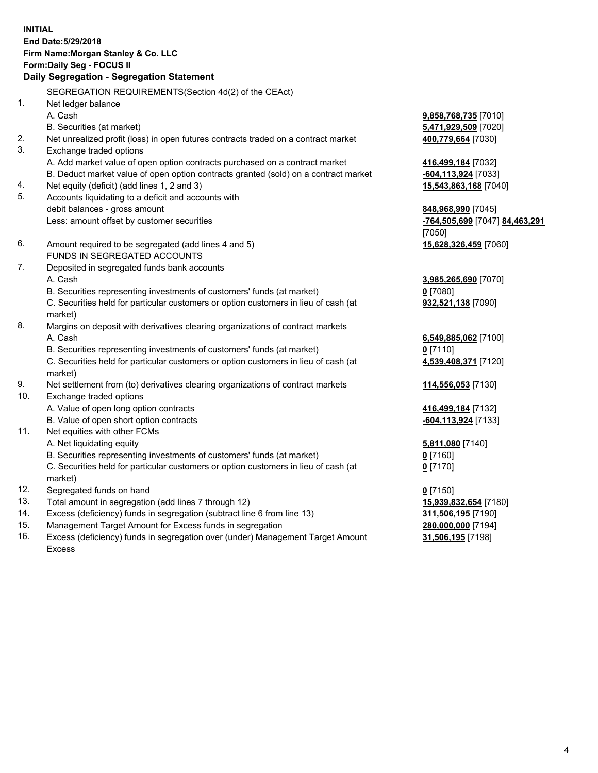## **INITIAL End Date:5/29/2018 Firm Name:Morgan Stanley & Co. LLC Form:Daily Seg - FOCUS II**

# **Daily Segregation - Segregation Statement**

SEGREGATION REQUIREMENTS(Section 4d(2) of the CEAct) 1. Net ledger balance A. Cash **9,858,768,735** [7010] B. Securities (at market) **5,471,929,509** [7020] 2. Net unrealized profit (loss) in open futures contracts traded on a contract market **400,779,664** [7030] 3. Exchange traded options A. Add market value of open option contracts purchased on a contract market **416,499,184** [7032] B. Deduct market value of open option contracts granted (sold) on a contract market **-604,113,924** [7033] 4. Net equity (deficit) (add lines 1, 2 and 3) **15,543,863,168** [7040] 5. Accounts liquidating to a deficit and accounts with debit balances - gross amount **848,968,990** [7045] Less: amount offset by customer securities **-764,505,699** [7047] **84,463,291** 6. Amount required to be segregated (add lines 4 and 5) **15,628,326,459** [7060] FUNDS IN SEGREGATED ACCOUNTS 7. Deposited in segregated funds bank accounts A. Cash **3,985,265,690** [7070] B. Securities representing investments of customers' funds (at market) **0** [7080] C. Securities held for particular customers or option customers in lieu of cash (at market) 8. Margins on deposit with derivatives clearing organizations of contract markets A. Cash **6,549,885,062** [7100] B. Securities representing investments of customers' funds (at market) **0** [7110] C. Securities held for particular customers or option customers in lieu of cash (at market) 9. Net settlement from (to) derivatives clearing organizations of contract markets **114,556,053** [7130] 10. Exchange traded options A. Value of open long option contracts **416,499,184** [7132] B. Value of open short option contracts **-604,113,924** [7133] 11. Net equities with other FCMs A. Net liquidating equity **5,811,080** [7140] B. Securities representing investments of customers' funds (at market) **0** [7160] C. Securities held for particular customers or option customers in lieu of cash (at market) 12. Segregated funds on hand **0** [7150] 13. Total amount in segregation (add lines 7 through 12) **15,939,832,654** [7180] 14. Excess (deficiency) funds in segregation (subtract line 6 from line 13) **311,506,195** [7190]

- 15. Management Target Amount for Excess funds in segregation **280,000,000** [7194]
- 16. Excess (deficiency) funds in segregation over (under) Management Target Amount Excess

[7050]

**932,521,138** [7090]

**4,539,408,371** [7120]

**0** [7170]

**31,506,195** [7198]